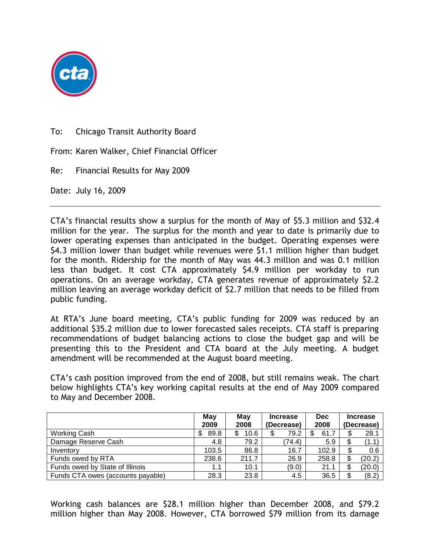

To: Chicago Transit Authority Board

From: Karen Walker, Chief Financial Officer

Re: Financial Results for May 2009

Date: July 16, 2009

CTA's financial results show a surplus for the month of May of \$5.3 million and \$32.4 million for the year. The surplus for the month and year to date is primarily due to lower operating expenses than anticipated in the budget. Operating expenses were \$4.3 million lower than budget while revenues were \$1.1 million higher than budget for the month. Ridership for the month of May was 44.3 million and was 0.1 million less than budget. It cost CTA approximately \$4.9 million per workday to run operations. On an average workday, CTA generates revenue of approximately \$2.2 million leaving an average workday deficit of \$2.7 million that needs to be filled from public funding.

At RTA's June board meeting, CTA's public funding for 2009 was reduced by an additional \$35.2 million due to lower forecasted sales receipts. CTA staff is preparing recommendations of budget balancing actions to close the budget gap and will be presenting this to the President and CTA board at the July meeting. A budget amendment will be recommended at the August board meeting.

CTA's cash position improved from the end of 2008, but still remains weak. The chart below highlights CTA's key working capital results at the end of May 2009 compared to May and December 2008.

|                                   | Mav         | Mav        | <b>Increase</b>    | <b>Dec</b> | <b>Increase</b> |        |
|-----------------------------------|-------------|------------|--------------------|------------|-----------------|--------|
|                                   | 2009        | 2008       | 2008<br>(Decrease) |            | (Decrease)      |        |
| Working Cash                      | 89.8<br>\$. | 10.6<br>S. | 79.2<br>\$         | 61.7       |                 | 28.1   |
| Damage Reserve Cash               | 4.8         | 79.2       | (74.4)             | 5.9        |                 | (1.1)  |
| Inventory                         | 103.5       | 86.8       | 16.7               | 102.9      |                 | 0.6    |
| Funds owed by RTA                 | 238.6       | 211.7      | 26.9               | 258.8      |                 | (20.2) |
| Funds owed by State of Illinois   | 1.1         | 10.1       | (9.0)              | 21.1       |                 | (20.0) |
| Funds CTA owes (accounts payable) | 28.3        | 23.8       | 4.5                | 36.5       |                 | (8.2)  |

Working cash balances are \$28.1 million higher than December 2008, and \$79.2 million higher than May 2008. However, CTA borrowed \$79 million from its damage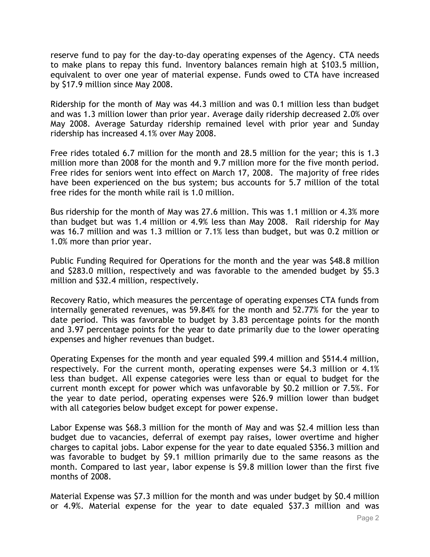reserve fund to pay for the day-to-day operating expenses of the Agency. CTA needs to make plans to repay this fund. Inventory balances remain high at \$103.5 million, equivalent to over one year of material expense. Funds owed to CTA have increased by \$17.9 million since May 2008.

Ridership for the month of May was 44.3 million and was 0.1 million less than budget and was 1.3 million lower than prior year. Average daily ridership decreased 2.0% over May 2008. Average Saturday ridership remained level with prior year and Sunday ridership has increased 4.1% over May 2008.

Free rides totaled 6.7 million for the month and 28.5 million for the year; this is 1.3 million more than 2008 for the month and 9.7 million more for the five month period. Free rides for seniors went into effect on March 17, 2008. The majority of free rides have been experienced on the bus system; bus accounts for 5.7 million of the total free rides for the month while rail is 1.0 million.

Bus ridership for the month of May was 27.6 million. This was 1.1 million or 4.3% more than budget but was 1.4 million or 4.9% less than May 2008. Rail ridership for May was 16.7 million and was 1.3 million or 7.1% less than budget, but was 0.2 million or 1.0% more than prior year.

Public Funding Required for Operations for the month and the year was \$48.8 million and \$283.0 million, respectively and was favorable to the amended budget by \$5.3 million and \$32.4 million, respectively.

Recovery Ratio, which measures the percentage of operating expenses CTA funds from internally generated revenues, was 59.84% for the month and 52.77% for the year to date period. This was favorable to budget by 3.83 percentage points for the month and 3.97 percentage points for the year to date primarily due to the lower operating expenses and higher revenues than budget.

Operating Expenses for the month and year equaled \$99.4 million and \$514.4 million, respectively. For the current month, operating expenses were \$4.3 million or 4.1% less than budget. All expense categories were less than or equal to budget for the current month except for power which was unfavorable by \$0.2 million or 7.5%. For the year to date period, operating expenses were \$26.9 million lower than budget with all categories below budget except for power expense.

Labor Expense was \$68.3 million for the month of May and was \$2.4 million less than budget due to vacancies, deferral of exempt pay raises, lower overtime and higher charges to capital jobs. Labor expense for the year to date equaled \$356.3 million and was favorable to budget by \$9.1 million primarily due to the same reasons as the month. Compared to last year, labor expense is \$9.8 million lower than the first five months of 2008.

Material Expense was \$7.3 million for the month and was under budget by \$0.4 million or 4.9%. Material expense for the year to date equaled \$37.3 million and was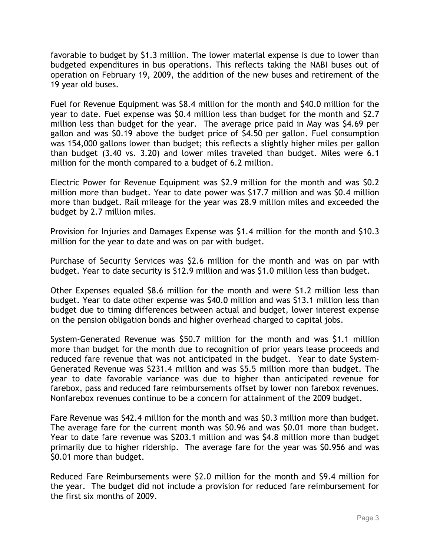favorable to budget by \$1.3 million. The lower material expense is due to lower than budgeted expenditures in bus operations. This reflects taking the NABI buses out of operation on February 19, 2009, the addition of the new buses and retirement of the 19 year old buses.

Fuel for Revenue Equipment was \$8.4 million for the month and \$40.0 million for the year to date. Fuel expense was \$0.4 million less than budget for the month and \$2.7 million less than budget for the year. The average price paid in May was \$4.69 per gallon and was \$0.19 above the budget price of \$4.50 per gallon. Fuel consumption was 154,000 gallons lower than budget; this reflects a slightly higher miles per gallon than budget (3.40 vs. 3.20) and lower miles traveled than budget. Miles were 6.1 million for the month compared to a budget of 6.2 million.

Electric Power for Revenue Equipment was \$2.9 million for the month and was \$0.2 million more than budget. Year to date power was \$17.7 million and was \$0.4 million more than budget. Rail mileage for the year was 28.9 million miles and exceeded the budget by 2.7 million miles.

Provision for Injuries and Damages Expense was \$1.4 million for the month and \$10.3 million for the year to date and was on par with budget.

Purchase of Security Services was \$2.6 million for the month and was on par with budget. Year to date security is \$12.9 million and was \$1.0 million less than budget.

Other Expenses equaled \$8.6 million for the month and were \$1.2 million less than budget. Year to date other expense was \$40.0 million and was \$13.1 million less than budget due to timing differences between actual and budget, lower interest expense on the pension obligation bonds and higher overhead charged to capital jobs.

System-Generated Revenue was \$50.7 million for the month and was \$1.1 million more than budget for the month due to recognition of prior years lease proceeds and reduced fare revenue that was not anticipated in the budget. Year to date System-Generated Revenue was \$231.4 million and was \$5.5 million more than budget. The year to date favorable variance was due to higher than anticipated revenue for farebox, pass and reduced fare reimbursements offset by lower non farebox revenues. Nonfarebox revenues continue to be a concern for attainment of the 2009 budget.

Fare Revenue was \$42.4 million for the month and was \$0.3 million more than budget. The average fare for the current month was \$0.96 and was \$0.01 more than budget. Year to date fare revenue was \$203.1 million and was \$4.8 million more than budget primarily due to higher ridership. The average fare for the year was \$0.956 and was \$0.01 more than budget.

Reduced Fare Reimbursements were \$2.0 million for the month and \$9.4 million for the year. The budget did not include a provision for reduced fare reimbursement for the first six months of 2009.